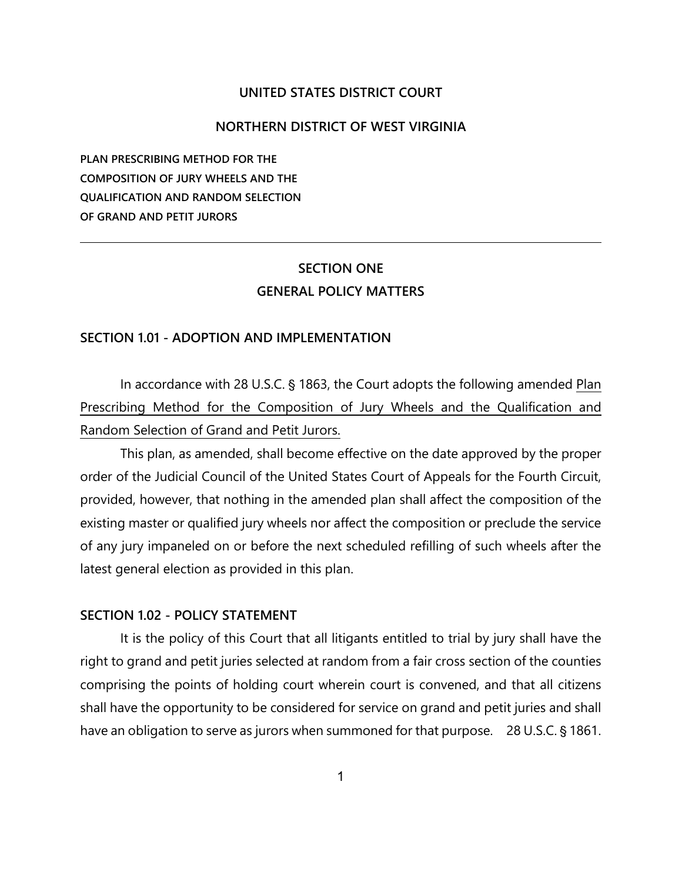#### **UNITED STATES DISTRICT COURT**

#### **NORTHERN DISTRICT OF WEST VIRGINIA**

**PLAN PRESCRIBING METHOD FOR THE COMPOSITION OF JURY WHEELS AND THE QUALIFICATION AND RANDOM SELECTION OF GRAND AND PETIT JURORS**

## **SECTION ONE GENERAL POLICY MATTERS**

## **SECTION 1.01 - ADOPTION AND IMPLEMENTATION**

In accordance with 28 U.S.C. § 1863, the Court adopts the following amended Plan Prescribing Method for the Composition of Jury Wheels and the Qualification and Random Selection of Grand and Petit Jurors.

This plan, as amended, shall become effective on the date approved by the proper order of the Judicial Council of the United States Court of Appeals for the Fourth Circuit, provided, however, that nothing in the amended plan shall affect the composition of the existing master or qualified jury wheels nor affect the composition or preclude the service of any jury impaneled on or before the next scheduled refilling of such wheels after the latest general election as provided in this plan.

#### **SECTION 1.02 - POLICY STATEMENT**

It is the policy of this Court that all litigants entitled to trial by jury shall have the right to grand and petit juries selected at random from a fair cross section of the counties comprising the points of holding court wherein court is convened, and that all citizens shall have the opportunity to be considered for service on grand and petit juries and shall have an obligation to serve as jurors when summoned for that purpose. 28 U.S.C. § 1861.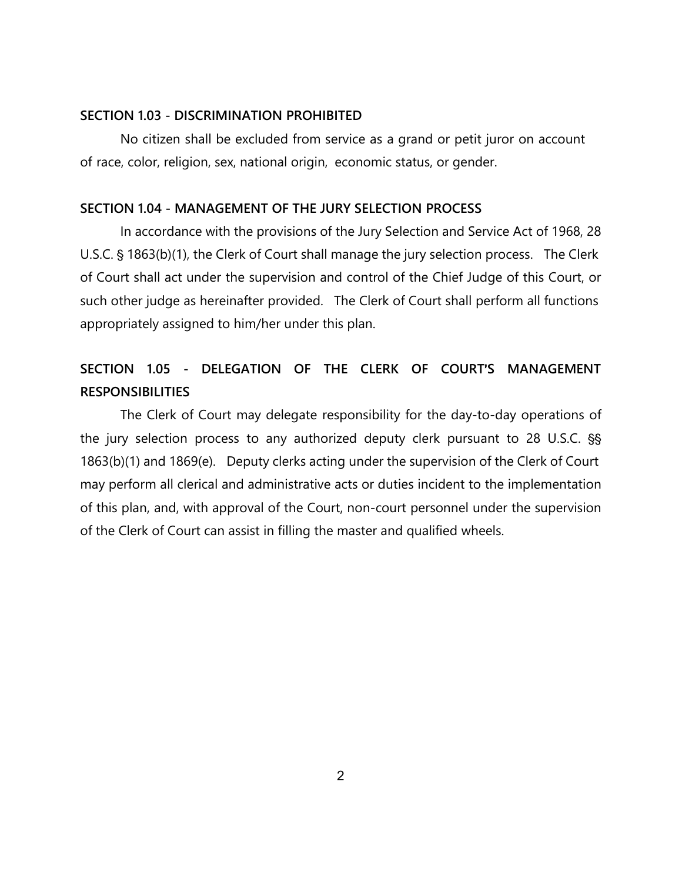#### **SECTION 1.03 - DISCRIMINATION PROHIBITED**

No citizen shall be excluded from service as a grand or petit juror on account of race, color, religion, sex, national origin, economic status, or gender.

#### **SECTION 1.04 - MANAGEMENT OF THE JURY SELECTION PROCESS**

In accordance with the provisions of the Jury Selection and Service Act of 1968, 28 U.S.C. § 1863(b)(1), the Clerk of Court shall manage the jury selection process. The Clerk of Court shall act under the supervision and control of the Chief Judge of this Court, or such other judge as hereinafter provided. The Clerk of Court shall perform all functions appropriately assigned to him/her under this plan.

## **SECTION 1.05 - DELEGATION OF THE CLERK OF COURT'S MANAGEMENT RESPONSIBILITIES**

The Clerk of Court may delegate responsibility for the day-to-day operations of the jury selection process to any authorized deputy clerk pursuant to 28 U.S.C.  $\S$ 1863(b)(1) and 1869(e). Deputy clerks acting under the supervision of the Clerk of Court may perform all clerical and administrative acts or duties incident to the implementation of this plan, and, with approval of the Court, non-court personnel under the supervision of the Clerk of Court can assist in filling the master and qualified wheels.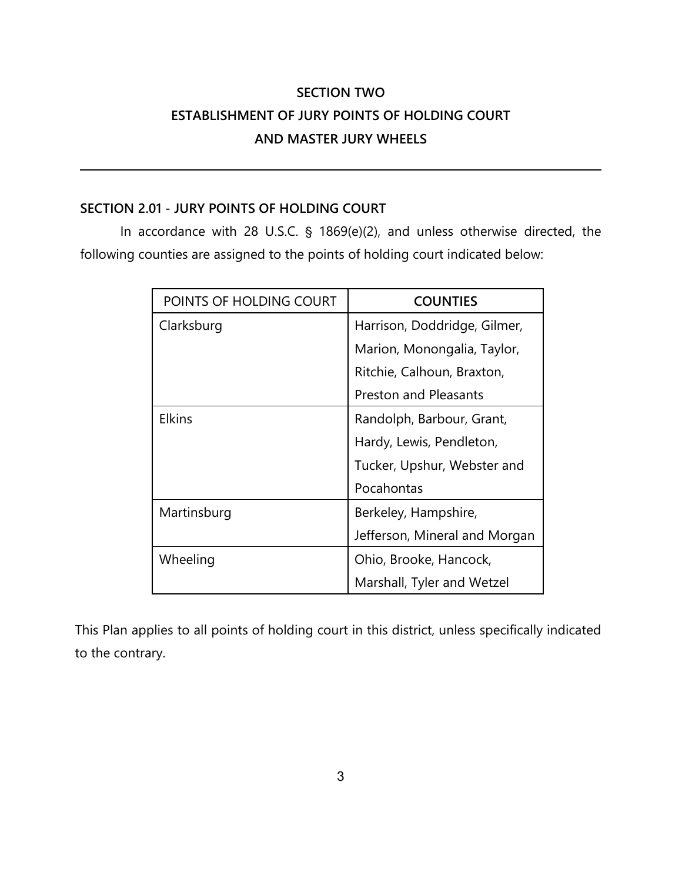# **SECTION TWO ESTABLISHMENT OF JURY POINTS OF HOLDING COURT AND MASTER JURY WHEELS**

## **SECTION 2.01 - JURY POINTS OF HOLDING COURT**

In accordance with 28 U.S.C.  $\frac{6}{5}$  1869(e)(2), and unless otherwise directed, the following counties are assigned to the points of holding court indicated below:

| POINTS OF HOLDING COURT | <b>COUNTIES</b>               |
|-------------------------|-------------------------------|
| Clarksburg              | Harrison, Doddridge, Gilmer,  |
|                         | Marion, Monongalia, Taylor,   |
|                         | Ritchie, Calhoun, Braxton,    |
|                         | <b>Preston and Pleasants</b>  |
| <b>Elkins</b>           | Randolph, Barbour, Grant,     |
|                         | Hardy, Lewis, Pendleton,      |
|                         | Tucker, Upshur, Webster and   |
|                         | Pocahontas                    |
| Martinsburg             | Berkeley, Hampshire,          |
|                         | Jefferson, Mineral and Morgan |
| Wheeling                | Ohio, Brooke, Hancock,        |
|                         | Marshall, Tyler and Wetzel    |

This Plan applies to all points of holding court in this district, unless specifically indicated to the contrary.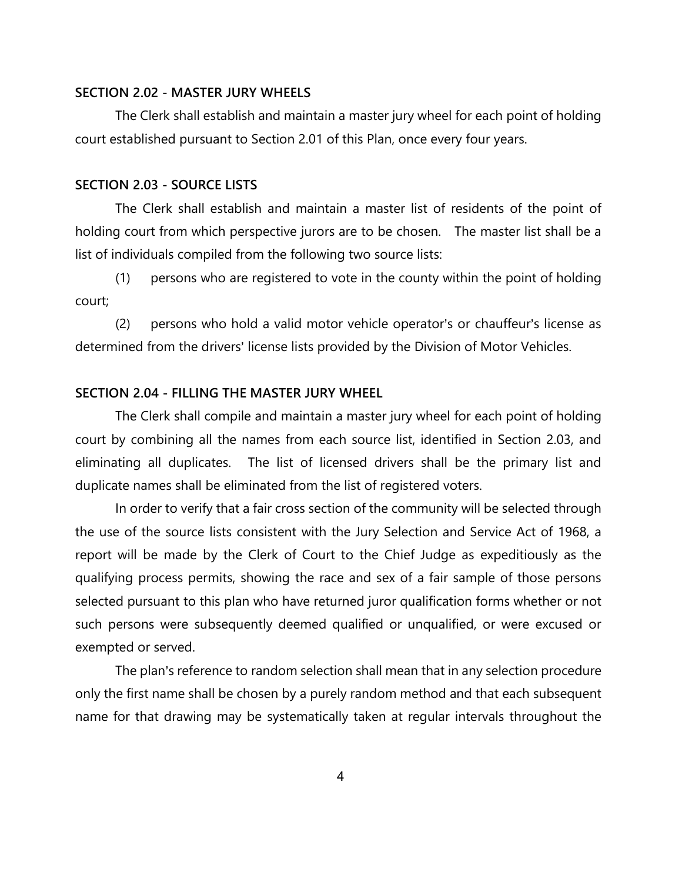#### **SECTION 2.02 - MASTER JURY WHEELS**

The Clerk shall establish and maintain a master jury wheel for each point of holding court established pursuant to Section 2.01 of this Plan, once every four years.

#### **SECTION 2.03 - SOURCE LISTS**

The Clerk shall establish and maintain a master list of residents of the point of holding court from which perspective jurors are to be chosen. The master list shall be a list of individuals compiled from the following two source lists:

(1) persons who are registered to vote in the county within the point of holding court;

(2) persons who hold a valid motor vehicle operator's or chauffeur's license as determined from the drivers' license lists provided by the Division of Motor Vehicles.

#### **SECTION 2.04 - FILLING THE MASTER JURY WHEEL**

The Clerk shall compile and maintain a master jury wheel for each point of holding court by combining all the names from each source list, identified in Section 2.03, and eliminating all duplicates. The list of licensed drivers shall be the primary list and duplicate names shall be eliminated from the list of registered voters.

 In order to verify that a fair cross section of the community will be selected through the use of the source lists consistent with the Jury Selection and Service Act of 1968, a report will be made by the Clerk of Court to the Chief Judge as expeditiously as the qualifying process permits, showing the race and sex of a fair sample of those persons selected pursuant to this plan who have returned juror qualification forms whether or not such persons were subsequently deemed qualified or unqualified, or were excused or exempted or served.

The plan's reference to random selection shall mean that in any selection procedure only the first name shall be chosen by a purely random method and that each subsequent name for that drawing may be systematically taken at regular intervals throughout the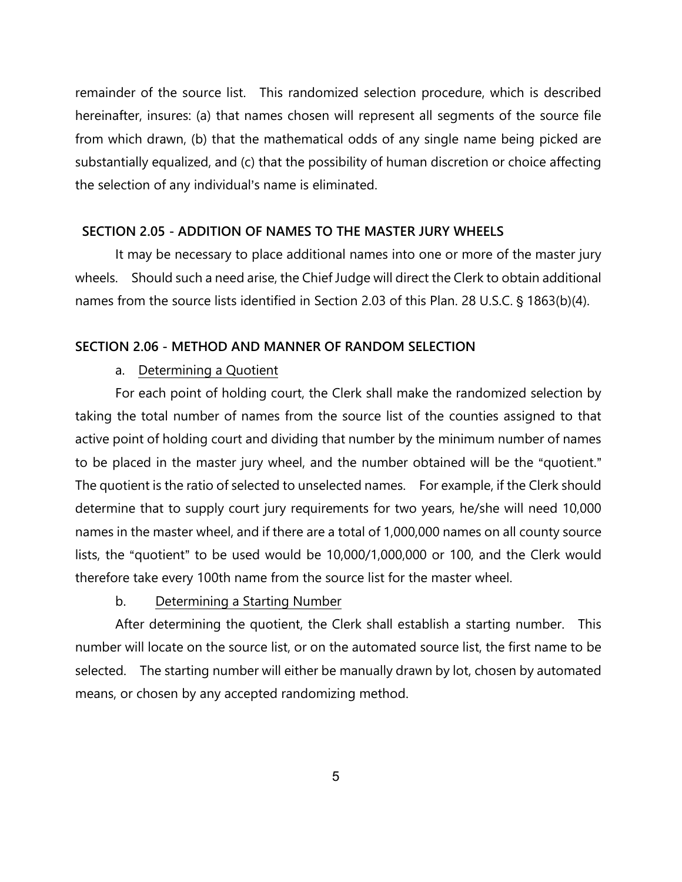remainder of the source list. This randomized selection procedure, which is described hereinafter, insures: (a) that names chosen will represent all segments of the source file from which drawn, (b) that the mathematical odds of any single name being picked are substantially equalized, and (c) that the possibility of human discretion or choice affecting the selection of any individual's name is eliminated.

#### **SECTION 2.05 - ADDITION OF NAMES TO THE MASTER JURY WHEELS**

It may be necessary to place additional names into one or more of the master jury wheels. Should such a need arise, the Chief Judge will direct the Clerk to obtain additional names from the source lists identified in Section 2.03 of this Plan. 28 U.S.C. § 1863(b)(4).

#### **SECTION 2.06 - METHOD AND MANNER OF RANDOM SELECTION**

## a. Determining a Quotient

For each point of holding court, the Clerk shall make the randomized selection by taking the total number of names from the source list of the counties assigned to that active point of holding court and dividing that number by the minimum number of names to be placed in the master jury wheel, and the number obtained will be the "quotient." The quotient is the ratio of selected to unselected names. For example, if the Clerk should determine that to supply court jury requirements for two years, he/she will need 10,000 names in the master wheel, and if there are a total of 1,000,000 names on all county source lists, the "quotient" to be used would be  $10,000/1,000,000$  or 100, and the Clerk would therefore take every 100th name from the source list for the master wheel.

#### b. Determining a Starting Number

After determining the quotient, the Clerk shall establish a starting number. This number will locate on the source list, or on the automated source list, the first name to be selected. The starting number will either be manually drawn by lot, chosen by automated means, or chosen by any accepted randomizing method.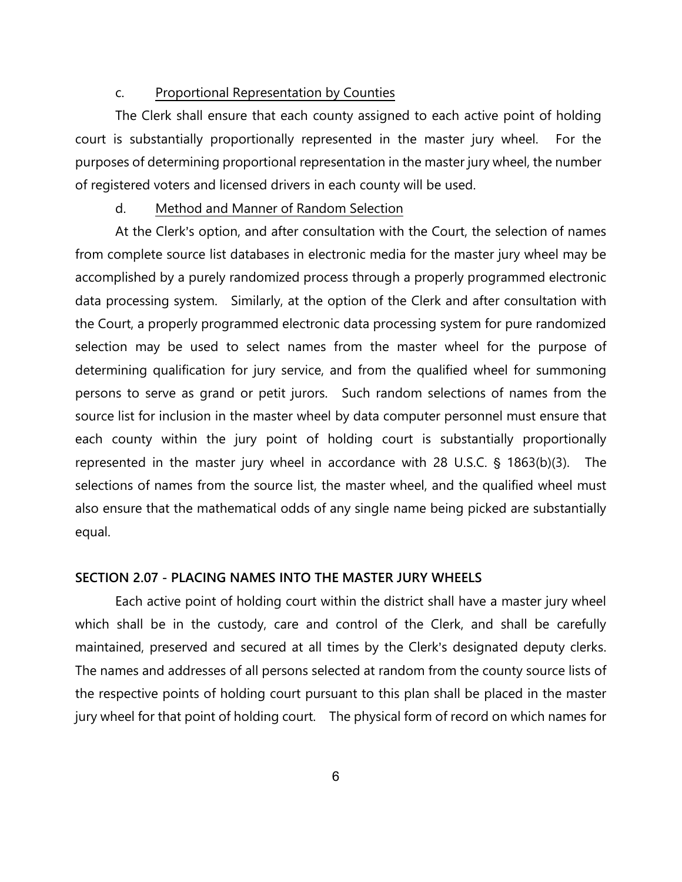#### c. Proportional Representation by Counties

The Clerk shall ensure that each county assigned to each active point of holding court is substantially proportionally represented in the master jury wheel. For the purposes of determining proportional representation in the master jury wheel, the number of registered voters and licensed drivers in each county will be used.

#### d. Method and Manner of Random Selection

At the Clerk's option, and after consultation with the Court, the selection of names from complete source list databases in electronic media for the master jury wheel may be accomplished by a purely randomized process through a properly programmed electronic data processing system. Similarly, at the option of the Clerk and after consultation with the Court, a properly programmed electronic data processing system for pure randomized selection may be used to select names from the master wheel for the purpose of determining qualification for jury service, and from the qualified wheel for summoning persons to serve as grand or petit jurors. Such random selections of names from the source list for inclusion in the master wheel by data computer personnel must ensure that each county within the jury point of holding court is substantially proportionally represented in the master jury wheel in accordance with 28 U.S.C.  $\S$  1863(b)(3). The selections of names from the source list, the master wheel, and the qualified wheel must also ensure that the mathematical odds of any single name being picked are substantially equal.

#### **SECTION 2.07 - PLACING NAMES INTO THE MASTER JURY WHEELS**

Each active point of holding court within the district shall have a master jury wheel which shall be in the custody, care and control of the Clerk, and shall be carefully maintained, preserved and secured at all times by the Clerk's designated deputy clerks. The names and addresses of all persons selected at random from the county source lists of the respective points of holding court pursuant to this plan shall be placed in the master jury wheel for that point of holding court. The physical form of record on which names for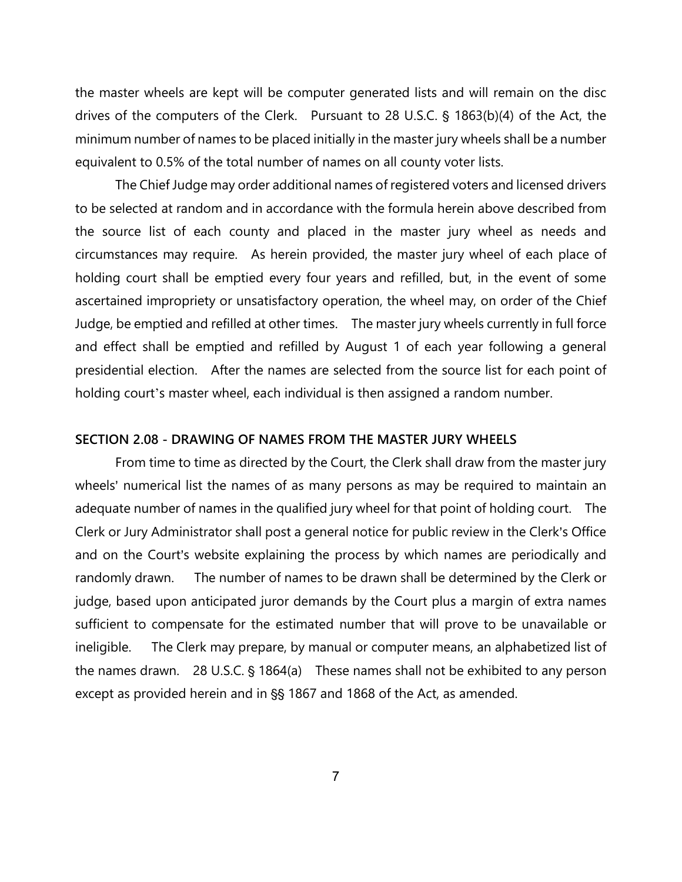the master wheels are kept will be computer generated lists and will remain on the disc drives of the computers of the Clerk. Pursuant to 28 U.S.C.  $\frac{1}{5}$  1863(b)(4) of the Act, the minimum number of names to be placed initially in the master jury wheels shall be a number equivalent to 0.5% of the total number of names on all county voter lists.

The Chief Judge may order additional names of registered voters and licensed drivers to be selected at random and in accordance with the formula herein above described from the source list of each county and placed in the master jury wheel as needs and circumstances may require. As herein provided, the master jury wheel of each place of holding court shall be emptied every four years and refilled, but, in the event of some ascertained impropriety or unsatisfactory operation, the wheel may, on order of the Chief Judge, be emptied and refilled at other times. The master jury wheels currently in full force and effect shall be emptied and refilled by August 1 of each year following a general presidential election. After the names are selected from the source list for each point of holding court's master wheel, each individual is then assigned a random number.

#### **SECTION 2.08 - DRAWING OF NAMES FROM THE MASTER JURY WHEELS**

From time to time as directed by the Court, the Clerk shall draw from the master jury wheels' numerical list the names of as many persons as may be required to maintain an adequate number of names in the qualified jury wheel for that point of holding court. The Clerk or Jury Administrator shall post a general notice for public review in the Clerk's Office and on the Court's website explaining the process by which names are periodically and randomly drawn. The number of names to be drawn shall be determined by the Clerk or judge, based upon anticipated juror demands by the Court plus a margin of extra names sufficient to compensate for the estimated number that will prove to be unavailable or ineligible. The Clerk may prepare, by manual or computer means, an alphabetized list of the names drawn. 28 U.S.C.  $\S$  1864(a) These names shall not be exhibited to any person except as provided herein and in §§ 1867 and 1868 of the Act, as amended.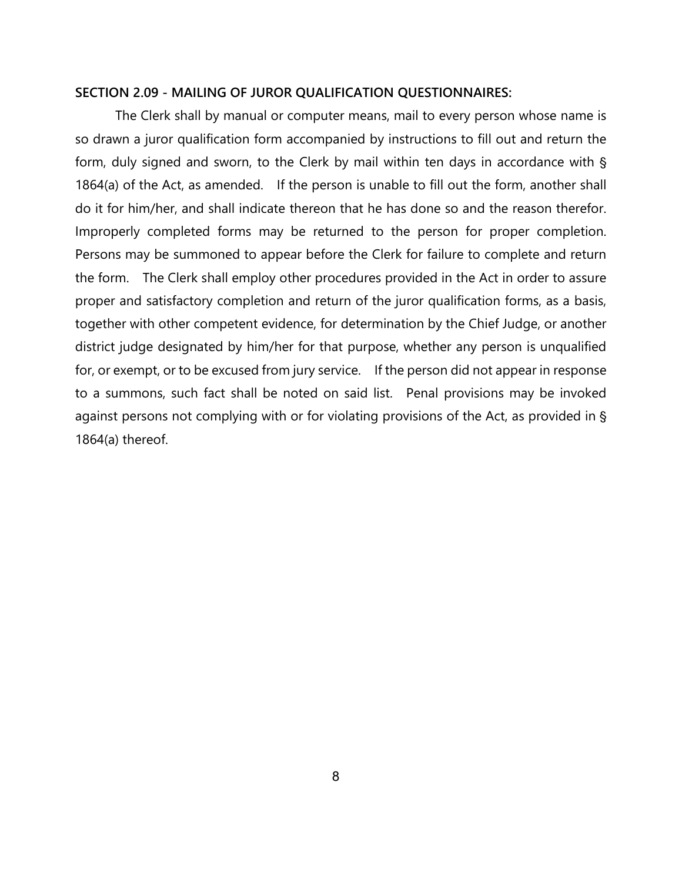#### **SECTION 2.09 - MAILING OF JUROR QUALIFICATION QUESTIONNAIRES:**

The Clerk shall by manual or computer means, mail to every person whose name is so drawn a juror qualification form accompanied by instructions to fill out and return the form, duly signed and sworn, to the Clerk by mail within ten days in accordance with § 1864(a) of the Act, as amended. If the person is unable to fill out the form, another shall do it for him/her, and shall indicate thereon that he has done so and the reason therefor. Improperly completed forms may be returned to the person for proper completion. Persons may be summoned to appear before the Clerk for failure to complete and return the form. The Clerk shall employ other procedures provided in the Act in order to assure proper and satisfactory completion and return of the juror qualification forms, as a basis, together with other competent evidence, for determination by the Chief Judge, or another district judge designated by him/her for that purpose, whether any person is unqualified for, or exempt, or to be excused from jury service. If the person did not appear in response to a summons, such fact shall be noted on said list. Penal provisions may be invoked against persons not complying with or for violating provisions of the Act, as provided in § 1864(a) thereof.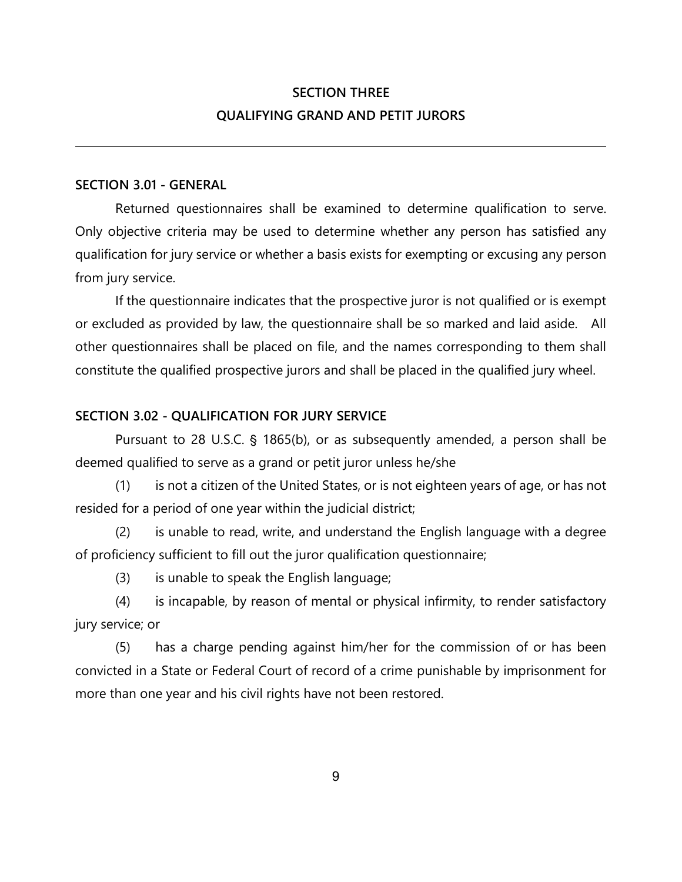# **SECTION THREE QUALIFYING GRAND AND PETIT JURORS**

## **SECTION 3.01 - GENERAL**

Returned questionnaires shall be examined to determine qualification to serve. Only objective criteria may be used to determine whether any person has satisfied any qualification for jury service or whether a basis exists for exempting or excusing any person from jury service.

If the questionnaire indicates that the prospective juror is not qualified or is exempt or excluded as provided by law, the questionnaire shall be so marked and laid aside. All other questionnaires shall be placed on file, and the names corresponding to them shall constitute the qualified prospective jurors and shall be placed in the qualified jury wheel.

## **SECTION 3.02 - QUALIFICATION FOR JURY SERVICE**

Pursuant to 28 U.S.C. § 1865(b), or as subsequently amended, a person shall be deemed qualified to serve as a grand or petit juror unless he/she

(1) is not a citizen of the United States, or is not eighteen years of age, or has not resided for a period of one year within the judicial district;

(2) is unable to read, write, and understand the English language with a degree of proficiency sufficient to fill out the juror qualification questionnaire;

(3) is unable to speak the English language;

(4) is incapable, by reason of mental or physical infirmity, to render satisfactory jury service; or

(5) has a charge pending against him/her for the commission of or has been convicted in a State or Federal Court of record of a crime punishable by imprisonment for more than one year and his civil rights have not been restored.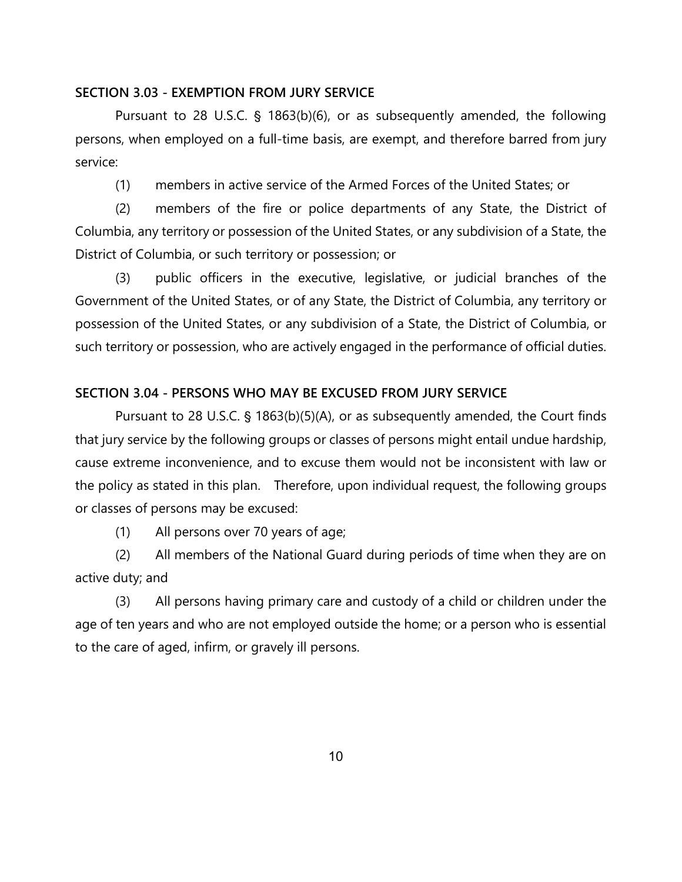#### **SECTION 3.03 - EXEMPTION FROM JURY SERVICE**

Pursuant to 28 U.S.C.  $\frac{1}{5}$  1863(b)(6), or as subsequently amended, the following persons, when employed on a full-time basis, are exempt, and therefore barred from jury service:

(1) members in active service of the Armed Forces of the United States; or

(2) members of the fire or police departments of any State, the District of Columbia, any territory or possession of the United States, or any subdivision of a State, the District of Columbia, or such territory or possession; or

(3) public officers in the executive, legislative, or judicial branches of the Government of the United States, or of any State, the District of Columbia, any territory or possession of the United States, or any subdivision of a State, the District of Columbia, or such territory or possession, who are actively engaged in the performance of official duties.

#### **SECTION 3.04 - PERSONS WHO MAY BE EXCUSED FROM JURY SERVICE**

Pursuant to 28 U.S.C. § 1863(b)(5)(A), or as subsequently amended, the Court finds that jury service by the following groups or classes of persons might entail undue hardship, cause extreme inconvenience, and to excuse them would not be inconsistent with law or the policy as stated in this plan. Therefore, upon individual request, the following groups or classes of persons may be excused:

(1) All persons over 70 years of age;

(2) All members of the National Guard during periods of time when they are on active duty; and

(3) All persons having primary care and custody of a child or children under the age of ten years and who are not employed outside the home; or a person who is essential to the care of aged, infirm, or gravely ill persons.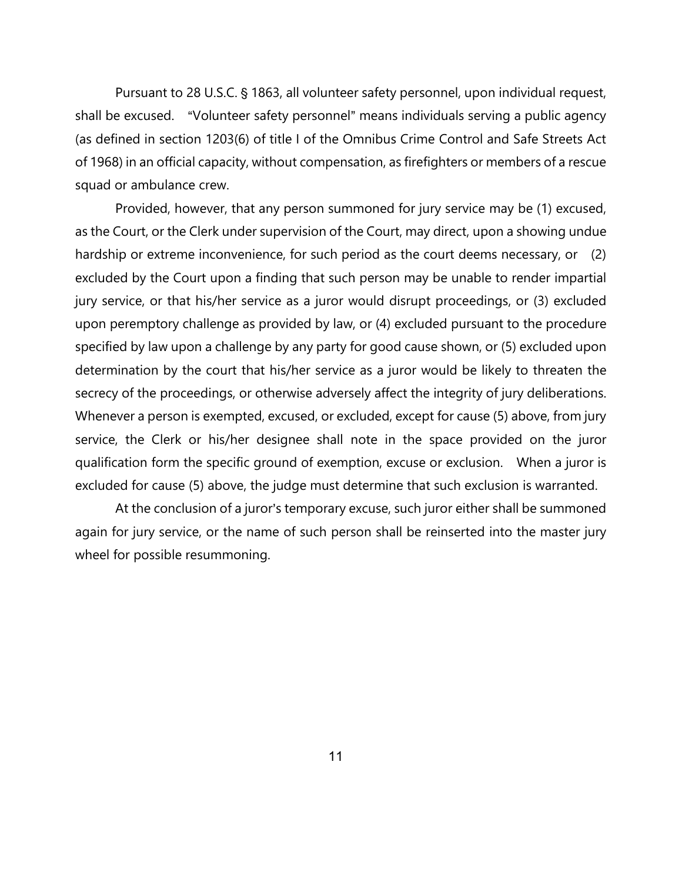Pursuant to 28 U.S.C. § 1863, all volunteer safety personnel, upon individual request, shall be excused. "Volunteer safety personnel" means individuals serving a public agency (as defined in section 1203(6) of title I of the Omnibus Crime Control and Safe Streets Act of 1968) in an official capacity, without compensation, as firefighters or members of a rescue squad or ambulance crew.

Provided, however, that any person summoned for jury service may be (1) excused, as the Court, or the Clerk under supervision of the Court, may direct, upon a showing undue hardship or extreme inconvenience, for such period as the court deems necessary, or (2) excluded by the Court upon a finding that such person may be unable to render impartial jury service, or that his/her service as a juror would disrupt proceedings, or (3) excluded upon peremptory challenge as provided by law, or (4) excluded pursuant to the procedure specified by law upon a challenge by any party for good cause shown, or (5) excluded upon determination by the court that his/her service as a juror would be likely to threaten the secrecy of the proceedings, or otherwise adversely affect the integrity of jury deliberations. Whenever a person is exempted, excused, or excluded, except for cause (5) above, from jury service, the Clerk or his/her designee shall note in the space provided on the juror qualification form the specific ground of exemption, excuse or exclusion. When a juror is excluded for cause (5) above, the judge must determine that such exclusion is warranted.

At the conclusion of a juror's temporary excuse, such juror either shall be summoned again for jury service, or the name of such person shall be reinserted into the master jury wheel for possible resummoning.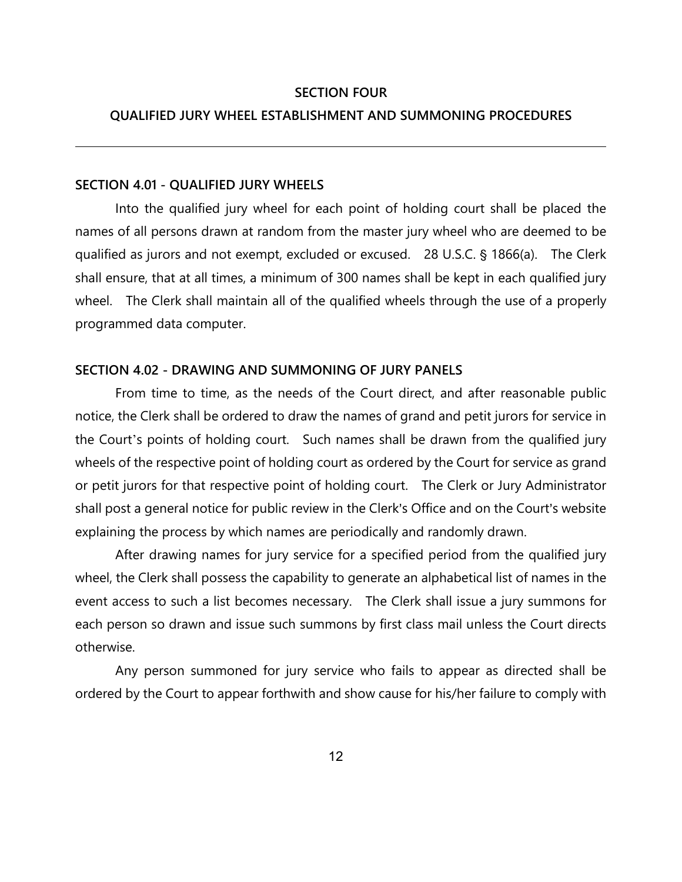#### **SECTION FOUR**

#### **QUALIFIED JURY WHEEL ESTABLISHMENT AND SUMMONING PROCEDURES**

#### **SECTION 4.01 - QUALIFIED JURY WHEELS**

Into the qualified jury wheel for each point of holding court shall be placed the names of all persons drawn at random from the master jury wheel who are deemed to be qualified as jurors and not exempt, excluded or excused. 28 U.S.C. § 1866(a). The Clerk shall ensure, that at all times, a minimum of 300 names shall be kept in each qualified jury wheel. The Clerk shall maintain all of the qualified wheels through the use of a properly programmed data computer.

#### **SECTION 4.02 - DRAWING AND SUMMONING OF JURY PANELS**

From time to time, as the needs of the Court direct, and after reasonable public notice, the Clerk shall be ordered to draw the names of grand and petit jurors for service in the Court's points of holding court. Such names shall be drawn from the qualified jury wheels of the respective point of holding court as ordered by the Court for service as grand or petit jurors for that respective point of holding court. The Clerk or Jury Administrator shall post a general notice for public review in the Clerk's Office and on the Court's website explaining the process by which names are periodically and randomly drawn.

After drawing names for jury service for a specified period from the qualified jury wheel, the Clerk shall possess the capability to generate an alphabetical list of names in the event access to such a list becomes necessary. The Clerk shall issue a jury summons for each person so drawn and issue such summons by first class mail unless the Court directs otherwise.

Any person summoned for jury service who fails to appear as directed shall be ordered by the Court to appear forthwith and show cause for his/her failure to comply with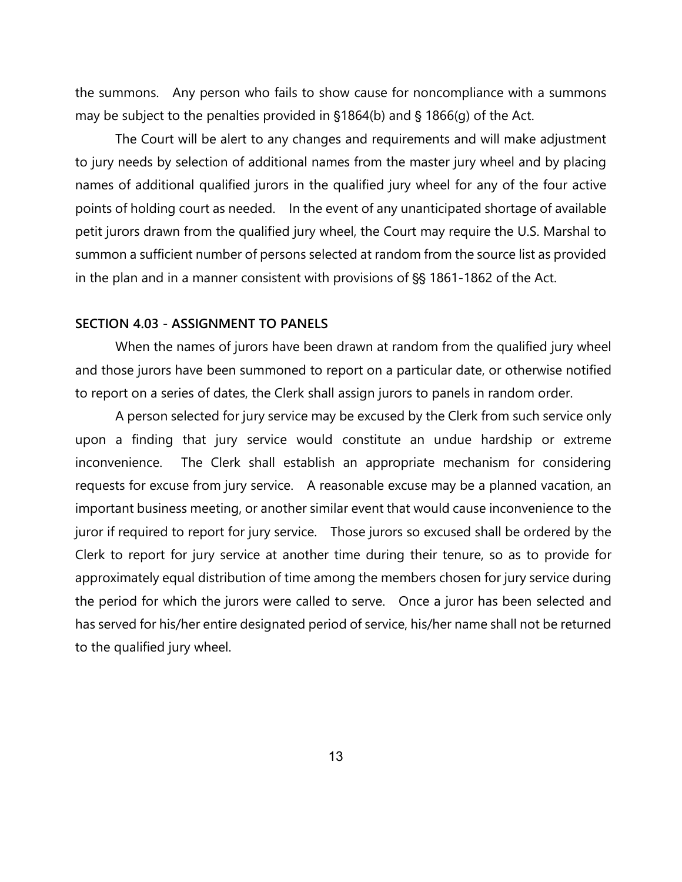the summons. Any person who fails to show cause for noncompliance with a summons may be subject to the penalties provided in  $$1864(b)$  and  $$1866(q)$  of the Act.

The Court will be alert to any changes and requirements and will make adjustment to jury needs by selection of additional names from the master jury wheel and by placing names of additional qualified jurors in the qualified jury wheel for any of the four active points of holding court as needed. In the event of any unanticipated shortage of available petit jurors drawn from the qualified jury wheel, the Court may require the U.S. Marshal to summon a sufficient number of persons selected at random from the source list as provided in the plan and in a manner consistent with provisions of §§ 1861-1862 of the Act.

#### **SECTION 4.03 - ASSIGNMENT TO PANELS**

When the names of jurors have been drawn at random from the qualified jury wheel and those jurors have been summoned to report on a particular date, or otherwise notified to report on a series of dates, the Clerk shall assign jurors to panels in random order.

A person selected for jury service may be excused by the Clerk from such service only upon a finding that jury service would constitute an undue hardship or extreme inconvenience. The Clerk shall establish an appropriate mechanism for considering requests for excuse from jury service. A reasonable excuse may be a planned vacation, an important business meeting, or another similar event that would cause inconvenience to the juror if required to report for jury service. Those jurors so excused shall be ordered by the Clerk to report for jury service at another time during their tenure, so as to provide for approximately equal distribution of time among the members chosen for jury service during the period for which the jurors were called to serve. Once a juror has been selected and has served for his/her entire designated period of service, his/her name shall not be returned to the qualified jury wheel.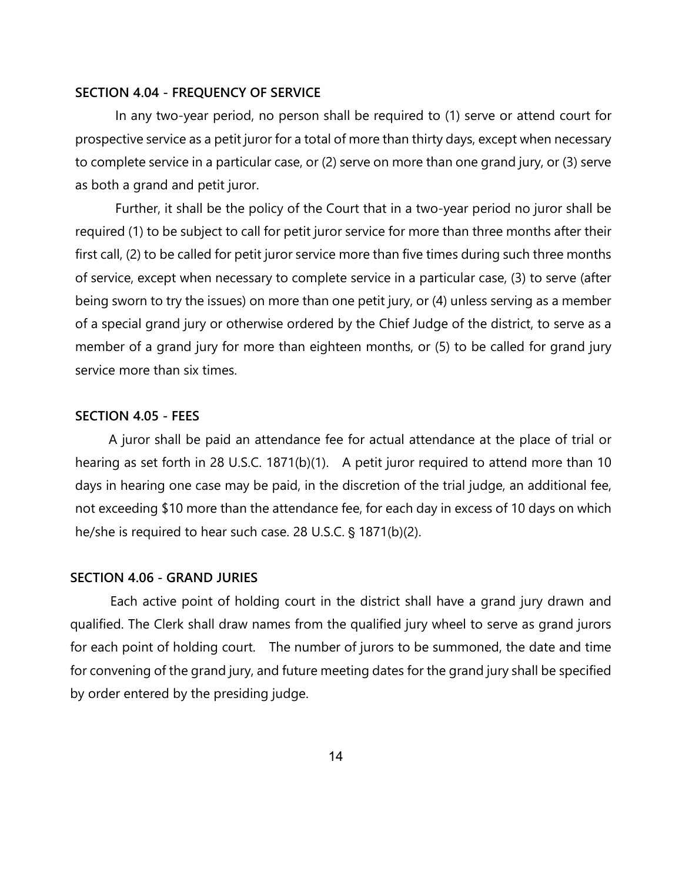#### **SECTION 4.04 - FREQUENCY OF SERVICE**

In any two-year period, no person shall be required to (1) serve or attend court for prospective service as a petit juror for a total of more than thirty days, except when necessary to complete service in a particular case, or (2) serve on more than one grand jury, or (3) serve as both a grand and petit juror.

Further, it shall be the policy of the Court that in a two-year period no juror shall be required (1) to be subject to call for petit juror service for more than three months after their first call, (2) to be called for petit juror service more than five times during such three months of service, except when necessary to complete service in a particular case, (3) to serve (after being sworn to try the issues) on more than one petit jury, or (4) unless serving as a member of a special grand jury or otherwise ordered by the Chief Judge of the district, to serve as a member of a grand jury for more than eighteen months, or (5) to be called for grand jury service more than six times.

#### **SECTION 4.05 - FEES**

A juror shall be paid an attendance fee for actual attendance at the place of trial or hearing as set forth in 28 U.S.C. 1871(b)(1). A petit juror required to attend more than 10 days in hearing one case may be paid, in the discretion of the trial judge, an additional fee, not exceeding \$10 more than the attendance fee, for each day in excess of 10 days on which he/she is required to hear such case. 28 U.S.C.  $\S$  1871(b)(2).

#### **SECTION 4.06 - GRAND JURIES**

Each active point of holding court in the district shall have a grand jury drawn and qualified. The Clerk shall draw names from the qualified jury wheel to serve as grand jurors for each point of holding court. The number of jurors to be summoned, the date and time for convening of the grand jury, and future meeting dates for the grand jury shall be specified by order entered by the presiding judge.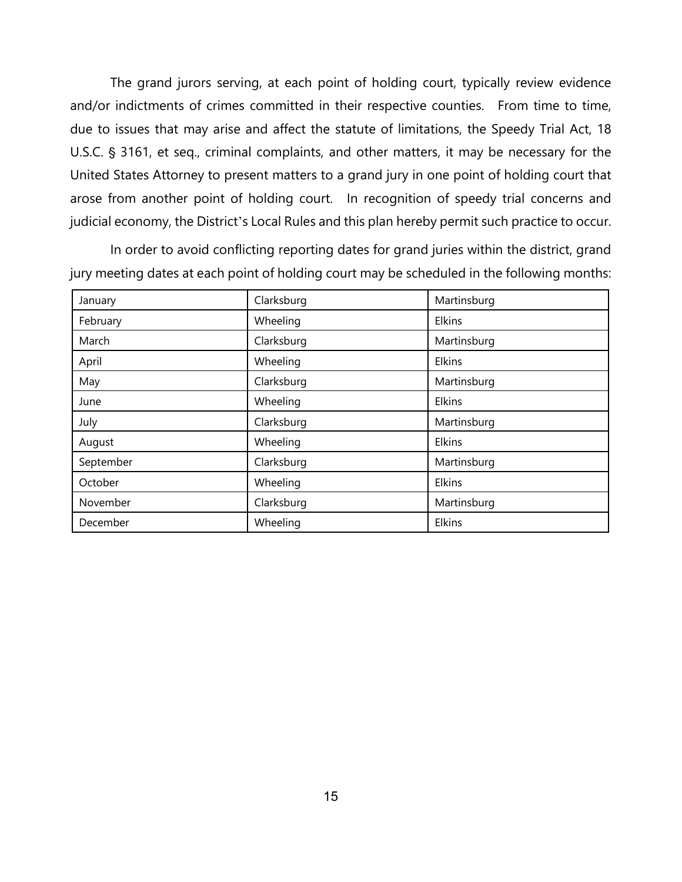The grand jurors serving, at each point of holding court, typically review evidence and/or indictments of crimes committed in their respective counties. From time to time, due to issues that may arise and affect the statute of limitations, the Speedy Trial Act, 18 U.S.C. § 3161, et seq., criminal complaints, and other matters, it may be necessary for the United States Attorney to present matters to a grand jury in one point of holding court that arose from another point of holding court. In recognition of speedy trial concerns and judicial economy, the District's Local Rules and this plan hereby permit such practice to occur.

In order to avoid conflicting reporting dates for grand juries within the district, grand jury meeting dates at each point of holding court may be scheduled in the following months:

| January   | Clarksburg | Martinsburg |
|-----------|------------|-------------|
| February  | Wheeling   | Elkins      |
| March     | Clarksburg | Martinsburg |
| April     | Wheeling   | Elkins      |
| May       | Clarksburg | Martinsburg |
| June      | Wheeling   | Elkins      |
| July      | Clarksburg | Martinsburg |
| August    | Wheeling   | Elkins      |
| September | Clarksburg | Martinsburg |
| October   | Wheeling   | Elkins      |
| November  | Clarksburg | Martinsburg |
| December  | Wheeling   | Elkins      |